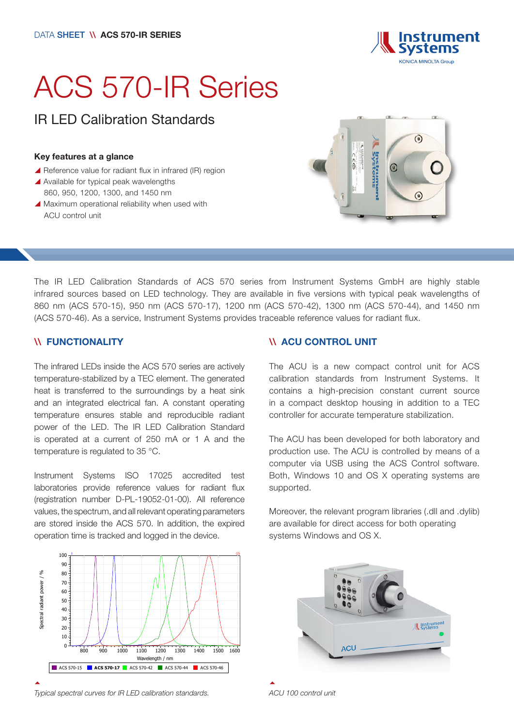

# ACS 570-IR Series

# IR LED Calibration Standards

#### Key features at a glance

- $\blacktriangle$  Reference value for radiant flux in infrared (IR) region
- $\blacktriangle$  Available for typical peak wavelengths 860, 950, 1200, 1300, and 1450 nm
- $\blacktriangle$  Maximum operational reliability when used with ACU control unit



The IR LED Calibration Standards of ACS 570 series from Instrument Systems GmbH are highly stable infrared sources based on LED technology. They are available in five versions with typical peak wavelengths of 860 nm (ACS 570-15), 950 nm (ACS 570-17), 1200 nm (ACS 570-42), 1300 nm (ACS 570-44), and 1450 nm (ACS 570-46). As a service, Instrument Systems provides traceable reference values for radiant flux.

#### \\ FUNCTIONALITY

The infrared LEDs inside the ACS 570 series are actively temperature-stabilized by a TEC element. The generated heat is transferred to the surroundings by a heat sink and an integrated electrical fan. A constant operating temperature ensures stable and reproducible radiant power of the LED. The IR LED Calibration Standard is operated at a current of 250 mA or 1 A and the temperature is regulated to 35 °C.

Instrument Systems ISO 17025 accredited test laboratories provide reference values for radiant flux (registration number D-PL-19052-01-00). All reference values, the spectrum, and all relevant operating parameters are stored inside the ACS 570. In addition, the expired operation time is tracked and logged in the device.



#### \\ ACU CONTROL UNIT

The ACU is a new compact control unit for ACS calibration standards from Instrument Systems. It contains a high-precision constant current source in a compact desktop housing in addition to a TEC controller for accurate temperature stabilization.

The ACU has been developed for both laboratory and production use. The ACU is controlled by means of a computer via USB using the ACS Control software. Both, Windows 10 and OS X operating systems are supported.

Moreover, the relevant program libraries (.dll and .dylib) are available for direct access for both operating systems Windows and OS X.



~ *ACU 100 control unit*